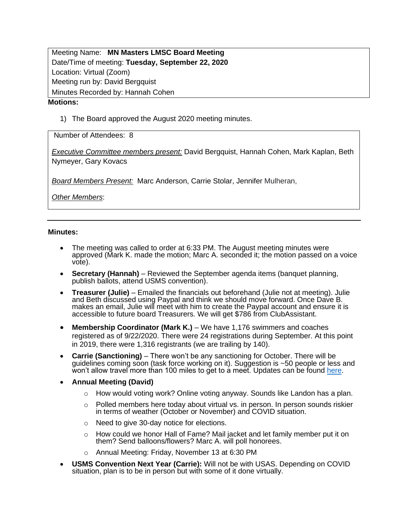Meeting Name: **MN Masters LMSC Board Meeting** Date/Time of meeting: **Tuesday, September 22, 2020** Location: Virtual (Zoom) Meeting run by: David Bergquist Minutes Recorded by: Hannah Cohen **Motions:**

1) The Board approved the August 2020 meeting minutes.

Number of Attendees: 8

*Executive Committee members present:* David Bergquist, Hannah Cohen, Mark Kaplan, Beth Nymeyer, Gary Kovacs

*Board Members Present:* Marc Anderson, Carrie Stolar, Jennifer Mulheran,

*Other Members*:

## **Minutes:**

- The meeting was called to order at 6:33 PM. The August meeting minutes were approved (Mark K. made the motion; Marc A. seconded it; the motion passed on a voice vote).
- **Secretary (Hannah)** Reviewed the September agenda items (banquet planning, publish ballots, attend USMS convention).
- **Treasurer (Julie)**  Emailed the financials out beforehand (Julie not at meeting). Julie and Beth discussed using Paypal and think we should move forward. Once Dave B. makes an email, Julie will meet with him to create the Paypal account and ensure it is accessible to future board Treasurers. We will get \$786 from ClubAssistant.
- **Membership Coordinator (Mark K.)** We have 1,176 swimmers and coaches registered as of 9/22/2020. There were 24 registrations during September. At this point in 2019, there were 1,316 registrants (we are trailing by 140).
- **Carrie (Sanctioning)**  There won't be any sanctioning for October. There will be guidelines coming soon (task force working on it). Suggestion is ~50 people or less and won't allow travel more than 100 miles to get to a meet. Updates can be found <u>here</u>.
- **Annual Meeting (David)**
	- $\circ$  How would voting work? Online voting anyway. Sounds like Landon has a plan.
	- o Polled members here today about virtual vs. in person. In person sounds riskier in terms of weather (October or November) and COVID situation.
	- o Need to give 30-day notice for elections.
	- $\circ$  How could we honor Hall of Fame? Mail jacket and let family member put it on them? Send balloons/flowers? Marc A. will poll honorees.
	- o Annual Meeting: Friday, November 13 at 6:30 PM
- **USMS Convention Next Year (Carrie):** Will not be with USAS. Depending on COVID situation, plan is to be in person but with some of it done virtually.